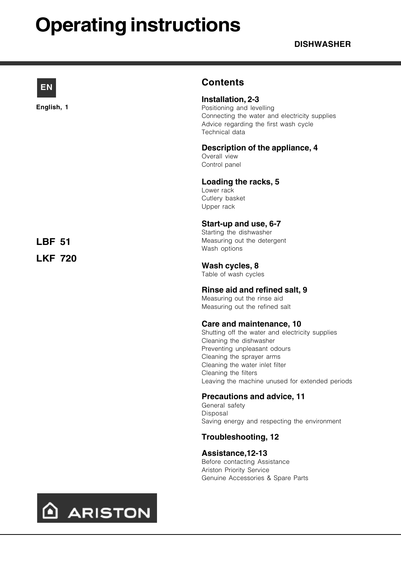# **Operating instructions**

## **DISHWASHER**

| <b>EN</b>      | <b>Contents</b>                                                                                                                                                                                                                                                                   |
|----------------|-----------------------------------------------------------------------------------------------------------------------------------------------------------------------------------------------------------------------------------------------------------------------------------|
| English, 1     | Installation, 2-3<br>Positioning and levelling<br>Connecting the water and electricity supplies<br>Advice regarding the first wash cycle<br>Technical data                                                                                                                        |
|                | Description of the appliance, 4<br>Overall view<br>Control panel                                                                                                                                                                                                                  |
|                | Loading the racks, 5<br>Lower rack<br>Cutlery basket<br>Upper rack                                                                                                                                                                                                                |
| <b>LBF 51</b>  | Start-up and use, 6-7<br>Starting the dishwasher<br>Measuring out the detergent<br>Wash options                                                                                                                                                                                   |
| <b>LKF 720</b> | Wash cycles, 8<br>Table of wash cycles                                                                                                                                                                                                                                            |
|                | Rinse aid and refined salt, 9<br>Measuring out the rinse aid<br>Measuring out the refined salt                                                                                                                                                                                    |
|                | Care and maintenance, 10<br>Shutting off the water and electricity supplies<br>Cleaning the dishwasher<br>Preventing unpleasant odours<br>Cleaning the sprayer arms<br>Cleaning the water inlet filter<br>Cleaning the filters<br>Leaving the machine unused for extended periods |
|                | <b>Precautions and advice, 11</b><br>General safety<br>Disposal<br>Saving energy and respecting the environment                                                                                                                                                                   |
|                | <b>Troubleshooting, 12</b>                                                                                                                                                                                                                                                        |
|                | Assistance, 12-13<br>Before contacting Assistance<br>Ariston Priority Service<br>Genuine Accessories & Spare Parts                                                                                                                                                                |

# ARISTON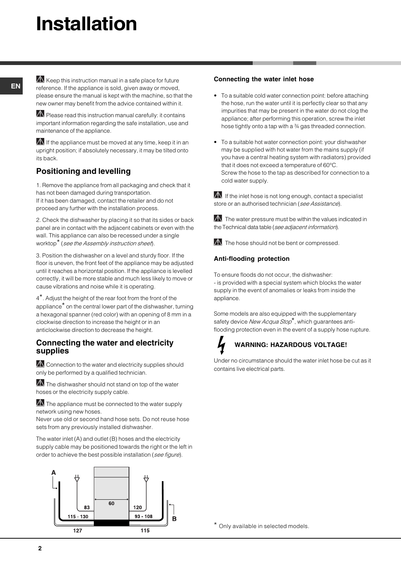## **Installation**

 $\triangle$  Keep this instruction manual in a safe place for future reference. If the appliance is sold, given away or moved, please ensure the manual is kept with the machine, so that the new owner may benefit from the advice contained within it.

 $\triangle$  Please read this instruction manual carefully: it contains important information regarding the safe installation, use and maintenance of the appliance.

 $\Lambda$  If the appliance must be moved at any time, keep it in an upright position; if absolutely necessary, it may be tilted onto its back.

## **Positioning and levelling**

1. Remove the appliance from all packaging and check that it has not been damaged during transportation. If it has been damaged, contact the retailer and do not proceed any further with the installation process.

2. Check the dishwasher by placing it so that its sides or back panel are in contact with the adjacent cabinets or even with the wall. This appliance can also be recessed under a single worktop<sup>\*</sup> (see the Assembly instruction sheet).

3. Position the dishwasher on a level and sturdy floor. If the floor is uneven the front feet of the appliance may be adjusted until it reaches a horizontal position. If the appliance is levelled correctly, it will be more stable and much less likely to move or cause vibrations and noise while it is operating.

4<sup>\*</sup>. Adjust the height of the rear foot from the front of the appliance<sup>\*</sup> on the central lower part of the dishwasher, turning a hexagonal spanner (red color) with an opening of 8 mm in a clockwise direction to increase the height or in an anticlockwise direction to decrease the height.

#### Connecting the water and electricity supplies

 $\Lambda$  Connection to the water and electricity supplies should only be performed by a qualified technician.

 $\triangle$  The dishwasher should not stand on top of the water hoses or the electricity supply cable.

 $\triangle$  The appliance must be connected to the water supply network using new hoses.

Never use old or second hand hose sets. Do not reuse hose sets from any previously installed dishwasher.

The water inlet (A) and outlet (B) hoses and the electricity supply cable may be positioned towards the right or the left in order to achieve the best possible installation (see figure).



#### Connecting the water inlet hose

- To a suitable cold water connection point: before attaching the hose, run the water until it is perfectly clear so that any impurities that may be present in the water do not clog the appliance; after performing this operation, screw the inlet hose tightly onto a tap with a 34 gas threaded connection.
- To a suitable hot water connection point: your dishwasher may be supplied with hot water from the mains supply (if you have a central heating system with radiators) provided that it does not exceed a temperature of 60°C. Screw the hose to the tap as described for connection to a cold water supply.

 $\Delta$  If the inlet hose is not long enough, contact a specialist store or an authorised technician (see Assistance).

 $\Lambda$  The water pressure must be within the values indicated in the Technical data table (see adiacent information).



#### **Anti-flooding protection**

To ensure floods do not occur, the dishwasher: - is provided with a special system which blocks the water supply in the event of anomalies or leaks from inside the appliance.

Some models are also equipped with the supplementary safety device New Acqua Stop<sup>\*</sup>, which quarantees antiflooding protection even in the event of a supply hose rupture.

## **WARNING: HAZARDOUS VOLTAGE!**

Under no circumstance should the water inlet hose be cut as it contains live electrical parts.

\* Only available in selected models.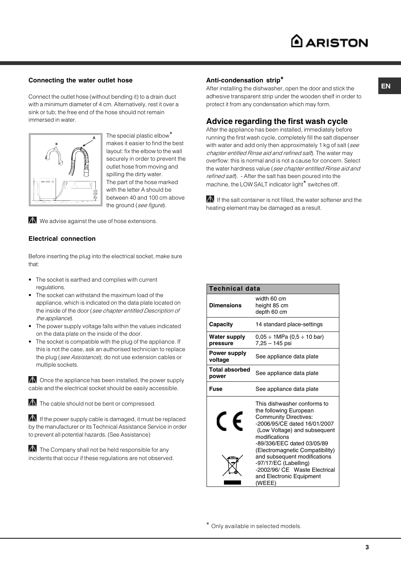EN.

#### Connecting the water outlet hose

Connect the outlet hose (without bending it) to a drain duct with a minimum diameter of 4 cm. Alternatively, rest it over a sink or tub; the free end of the hose should not remain immersed in water.



The special plastic elbow $^\star$ makes it easier to find the best layout: fix the elbow to the wall securely in order to prevent the outlet hose from moving and spilling the dirty water. The part of the hose marked with the letter A should be between 40 and 100 cm above the ground (*see figure*).

We advise against the use of hose extensions.

#### **Electrical connection**

Before inserting the plug into the electrical socket, make sure that<sup>.</sup>

- The socket is earthed and complies with current regulations.
- $\bullet$  The socket can withstand the maximum load of the appliance, which is indicated on the data plate located on the inside of the door (*see chapter entitled Description of* the appliance).
- The power supply voltage falls within the values indicated on the data plate on the inside of the door.
- $\bullet$  The socket is compatible with the plug of the appliance. If this is not the case, ask an authorised technician to replace the plug (*see Assistance*); do not use extension cables or multiple sockets.

Once the appliance has been installed, the power supply cable and the electrical socket should be easily accessible.

The cable should not be bent or compressed.

If the power supply cable is damaged, it must be replaced by the manufacturer or its Technical Assistance Service in order to prevent all potential hazards. (See Assistance)

The Company shall not be held responsible for any incidents that occur if these regulations are not observed.

#### Anti-condensation strip<sup>\*</sup>

After installing the dishwasher, open the door and stick the adhesive transparent strip under the wooden shelf in order to protect it from any condensation which may form.

#### Advice regarding the first wash cycle

After the appliance has been installed, immediately before running the first wash cycle, completely fill the salt dispenser with water and add only then approximately 1 kg of salt (*see* chapter entitled Rinse aid and refined salt). The water may overflow: this is normal and is not a cause for concern. Select the water hardness value (*see chapter entitled Rinse aid and* refined salt). - After the salt has been poured into the machine, the LOW SALT indicator light<sup>\*</sup> switches off.

If the salt container is not filled, the water softener and the heating element may be damaged as a result.

| <b>Technical data</b>           |                                                                                                                                                                                                                                                                                                                                                                         |  |  |  |  |
|---------------------------------|-------------------------------------------------------------------------------------------------------------------------------------------------------------------------------------------------------------------------------------------------------------------------------------------------------------------------------------------------------------------------|--|--|--|--|
| <b>Dimensions</b>               | width 60 cm<br>height 85 cm<br>depth 60 cm                                                                                                                                                                                                                                                                                                                              |  |  |  |  |
| Capacity                        | 14 standard place-settings                                                                                                                                                                                                                                                                                                                                              |  |  |  |  |
| <b>Water supply</b><br>pressure | $0,05 \div 1MPa (0,5 \div 10 bar)$<br>7,25 – 145 psi                                                                                                                                                                                                                                                                                                                    |  |  |  |  |
| <b>Power supply</b><br>voltage  | See appliance data plate                                                                                                                                                                                                                                                                                                                                                |  |  |  |  |
| <b>Total absorbed</b><br>power  | See appliance data plate                                                                                                                                                                                                                                                                                                                                                |  |  |  |  |
| Fuse                            | See appliance data plate                                                                                                                                                                                                                                                                                                                                                |  |  |  |  |
|                                 | This dishwasher conforms to<br>the following European<br><b>Community Directives:</b><br>-2006/95/CE dated 16/01/2007<br>(Low Voltage) and subsequent<br>modifications<br>-89/336/EEC dated 03/05/89<br>(Electromagnetic Compatibility)<br>and subsequent modifications<br>-97/17/EC (Labelling)<br>-2002/96/ CE Waste Electrical<br>and Electronic Equipment<br>(WEEE) |  |  |  |  |

\* Only available in selected models.

-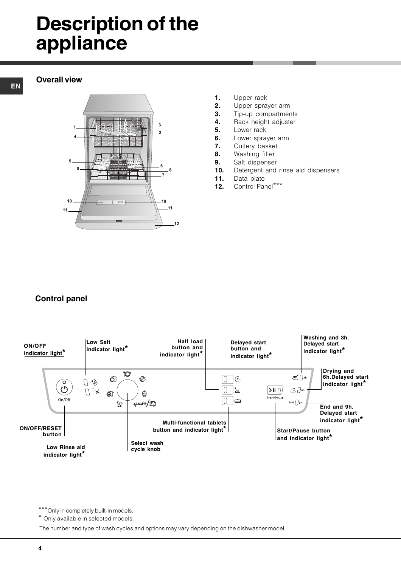## **Description of the** appliance

#### **Overall view**



- $\mathbf{1}$ . Upper rack
- $2.$ Upper sprayer arm
- $3<sub>1</sub>$ Tip-up compartments
- $\overline{4}$ . Rack height adjuster
- 5. Lower rack
- 6. Lower sprayer arm
- $\overline{7}$ . Cutlery basket
- 8. Washing filter
- 9. Salt dispenser
- $10.$ Detergent and rinse aid dispensers
- $11.$ Data plate
- Control Panel\*\*\*  $12.$

## **Control panel**



\*\*\* Only in completely built-in models.

\* Only available in selected models.

The number and type of wash cycles and options may vary depending on the dishwasher model.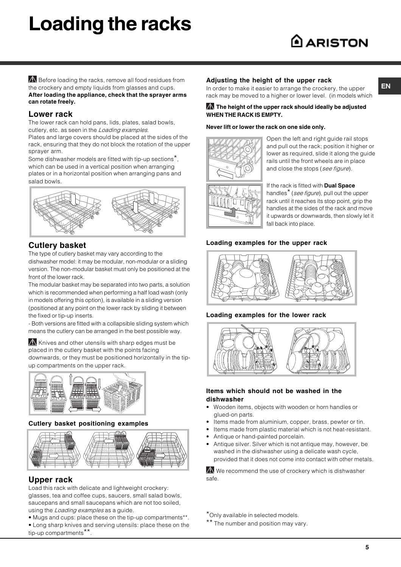# **Loading the racks**

**EN** 

A Before loading the racks, remove all food residues from the crockery and empty liquids from glasses and cups. After loading the appliance, check that the sprayer arms can rotate freely.

### Lower rack

The lower rack can hold pans, lids, plates, salad bowls, cutlery, etc. as seen in the Loading examples.

Plates and large covers should be placed at the sides of the rack, ensuring that they do not block the rotation of the upper spraver arm.

Some dishwasher models are fitted with tip-up sections<sup>\*</sup>, which can be used in a vertical position when arranging plates or in a horizontal position when arranging pans and salad bowls.



## **Cutlery basket**

The type of cutlery basket may vary according to the dishwasher model: it may be modular, non-modular or a sliding version. The non-modular basket must only be positioned at the front of the lower rack.

The modular basket may be separated into two parts, a solution which is recommended when performing a half load wash (only in models offering this option), is available in a sliding version (positioned at any point on the lower rack by sliding it between the fixed or tip-up inserts.

- Both versions are fitted with a collapsible sliding system which means the cutlery can be arranged in the best possible way.

 $\Lambda$  Knives and other utensils with sharp edges must be placed in the cutlery basket with the points facing downwards, or they must be positioned horizontally in the tipup compartments on the upper rack.



#### **Cutlery basket positioning examples**



### Upper rack

Load this rack with delicate and lightweight crockery: glasses, tea and coffee cups, saucers, small salad bowls, saucepans and small saucepans which are not too soiled. using the *Loading examples* as a guide.

• Mugs and cups: place these on the tip-up compartments\*\*. • Long sharp knives and serving utensils: place these on the tip-up compartments\*\*

#### Adjusting the height of the upper rack

In order to make it easier to arrange the crockery, the upper rack may be moved to a higher or lower level. (in models which

The height of the upper rack should ideally be adjusted **WHEN THE RACK IS EMPTY.** 

#### Never lift or lower the rack on one side only.



Open the left and right guide rail stops and pull out the rack; position it higher or lower as required, slide it along the quide rails until the front wheels are in place and close the stops (see figure).

#### If the rack is fitted with Dual Space handles<sup>\*</sup> (*see figure*), pull out the upper

rack until it reaches its stop point, grip the handles at the sides of the rack and move it upwards or downwards, then slowly let it fall back into place.

#### Loading examples for the upper rack



#### Loading examples for the lower rack



#### Items which should not be washed in the dishwasher

- Wooden items, objects with wooden or horn handles or glued-on parts.
- Items made from aluminium, copper, brass, pewter or tin.
- Items made from plastic material which is not heat-resistant.
- Antique or hand-painted porcelain.
- Antique silver. Silver which is not antique may, however, be washed in the dishwasher using a delicate wash cycle, provided that it does not come into contact with other metals.

 $\Lambda$  We recommend the use of crockery which is dishwasher safe.

\*Only available in selected models.

\*\* The number and position may vary.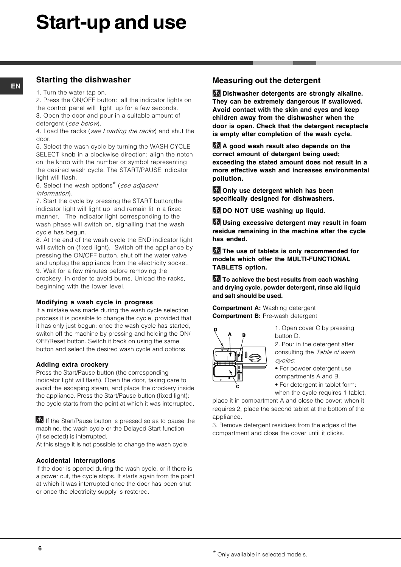## **Start-up and use**

### **Starting the dishwasher**

1. Turn the water tap on.

2. Press the ON/OFF button: all the indicator lights on the control panel will light up for a few seconds. 3. Open the door and pour in a suitable amount of detergent (see below).

4. Load the racks (see Loading the racks) and shut the  $d$ oor

5. Select the wash cycle by turning the WASH CYCLE SELECT knob in a clockwise direction: align the notch on the knob with the number or symbol representing the desired wash cycle. The START/PAUSE indicator light will flash.

6. Select the wash options<sup>\*</sup> (see adjacent information).

7. Start the cycle by pressing the START button; the indicator light will light up and remain lit in a fixed manner. The indicator light corresponding to the wash phase will switch on, signalling that the wash cycle has begun.

8. At the end of the wash cycle the END indicator light will switch on (fixed light). Switch off the appliance by pressing the ON/OFF button, shut off the water valve and unplug the appliance from the electricity socket.

9. Wait for a few minutes before removing the crockery, in order to avoid burns. Unload the racks, beginning with the lower level.

#### Modifving a wash cycle in progress

If a mistake was made during the wash cycle selection process it is possible to change the cycle, provided that it has only just begun: once the wash cycle has started, switch off the machine by pressing and holding the ON/ OFF/Reset button. Switch it back on using the same button and select the desired wash cycle and options.

#### Adding extra crockery

Press the Start/Pause button (the corresponding indicator light will flash). Open the door, taking care to avoid the escaping steam, and place the crockery inside the appliance. Press the Start/Pause button (fixed light): the cycle starts from the point at which it was interrupted.

 $\Lambda$  If the Start/Pause button is pressed so as to pause the machine, the wash cycle or the Delayed Start function (if selected) is interrupted.

At this stage it is not possible to change the wash cycle.

#### **Accidental interruptions**

If the door is opened during the wash cycle, or if there is a power cut, the cycle stops. It starts again from the point at which it was interrupted once the door has been shut or once the electricity supply is restored.

### **Measuring out the detergent**

A Dishwasher detergents are strongly alkaline. They can be extremely dangerous if swallowed. Avoid contact with the skin and eves and keep children away from the dishwasher when the door is open. Check that the detergent receptacle is empty after completion of the wash cycle.

A A good wash result also depends on the correct amount of detergent being used; exceeding the stated amount does not result in a more effective wash and increases environmental pollution.

A Only use detergent which has been specifically designed for dishwashers.

A DO NOT USE washing up liquid.

A Using excessive detergent may result in foam residue remaining in the machine after the cycle has ended.

A The use of tablets is only recommended for models which offer the MULTI-FUNCTIONAL **TABLETS** option.

A To achieve the best results from each washing and drying cycle, powder detergent, rinse aid liquid and salt should be used.

**Compartment A: Washing detergent Compartment B: Pre-wash detergent** 



1. Open cover C by pressing button D.

2. Pour in the detergent after consulting the Table of wash cvcles:

• For powder detergent use compartments A and B.

• For detergent in tablet form: when the cycle requires 1 tablet,

place it in compartment A and close the cover; when it requires 2, place the second tablet at the bottom of the appliance.

3. Remove detergent residues from the edges of the compartment and close the cover until it clicks.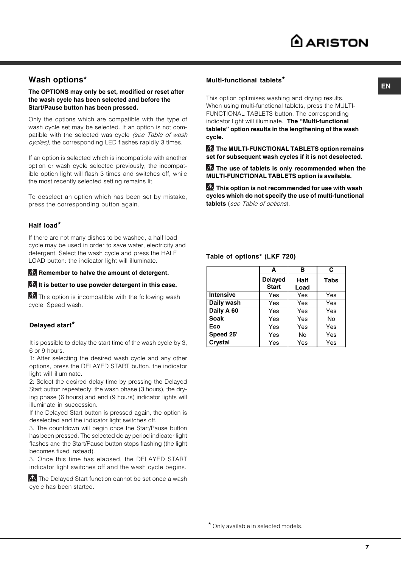## Wash options\*

The OPTIONS may only be set, modified or reset after the wash cycle has been selected and before the Start/Pause button has been pressed.

Only the options which are compatible with the type of wash cycle set may be selected. If an option is not compatible with the selected was cycle (see Table of wash cycles), the corresponding LED flashes rapidly 3 times.

If an option is selected which is incompatible with another option or wash cycle selected previously, the incompatible option light will flash 3 times and switches off, while the most recently selected setting remains lit.

To deselect an option which has been set by mistake. press the corresponding button again.

#### Half load\*

If there are not many dishes to be washed, a half load cycle may be used in order to save water, electricity and detergent. Select the wash cycle and press the HALF LOAD button: the indicator light will illuminate.

#### **A Remember to halve the amount of detergent.**

#### A It is better to use powder detergent in this case.

This option is incompatible with the following wash cycle: Speed wash.

#### Delayed start\*

It is possible to delay the start time of the wash cycle by 3, 6 or 9 hours.

1: After selecting the desired wash cycle and any other options, press the DELAYED START button, the indicator light will illuminate.

2: Select the desired delay time by pressing the Delayed Start button repeatedly; the wash phase (3 hours), the drying phase (6 hours) and end (9 hours) indicator lights will illuminate in succession.

If the Delayed Start button is pressed again, the option is deselected and the indicator light switches off.

3. The countdown will begin once the Start/Pause button has been pressed. The selected delay period indicator light flashes and the Start/Pause button stops flashing (the light becomes fixed instead).

3. Once this time has elapsed, the DELAYED START indicator light switches off and the wash cycle begins.

The Delayed Start function cannot be set once a wash cycle has been started.

#### Multi-functional tablets\*

This option optimises washing and drying results. When using multi-functional tablets, press the MULTI-FUNCTIONAL TABLETS button. The corresponding indicator light will illuminate. The "Multi-functional tablets" option results in the lengthening of the wash cycle.

A The MULTI-FUNCTIONAL TABLETS option remains set for subsequent wash cycles if it is not deselected.

The use of tablets is only recommended when the **MULTI-FUNCTIONAL TABLETS option is available.** 

 $\triangle$  This option is not recommended for use with wash cycles which do not specify the use of multi-functional tablets (see Table of options).

#### Table of options\* (LKF 720)

|                  | A                              | в            | C           |
|------------------|--------------------------------|--------------|-------------|
|                  | <b>Delayed</b><br><b>Start</b> | Half<br>Load | <b>Tabs</b> |
| <b>Intensive</b> | Yes                            | Yes          | Yes         |
| Daily wash       | Yes                            | Yes          | Yes         |
| Daily A 60       | Yes                            | Yes          | Yes         |
| <b>Soak</b>      | Yes                            | Yes          | No          |
| Eco              | Yes                            | Yes          | Yes         |
| Speed 25'        | Yes                            | No           | Yes         |
| <b>Crystal</b>   | Yes                            | Yes          | Yes         |

\* Only available in selected models.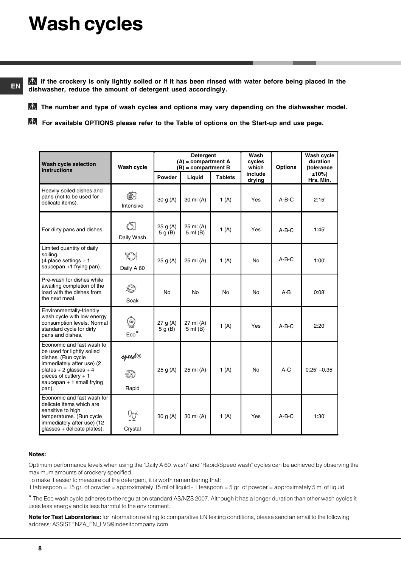## **Wash cycles**

**EN** If the crockery is only lightly soiled or if it has been rinsed with water before being placed in the dishwasher, reduce the amount of detergent used accordingly.

The number and type of wash cycles and options may vary depending on the dishwasher model.

For available OPTIONS please refer to the Table of options on the Start-up and use page.

| Wash cycle selection<br><b>instructions</b>                                                                                                                                                               | Wash cycle           | <b>Detergent</b><br>$(A)$ = compartment A<br>$(B) = compartment B$ |                                     |                | Wash<br>cycles<br>which | <b>Options</b> | Wash cycle<br>duration<br>(tolerance |
|-----------------------------------------------------------------------------------------------------------------------------------------------------------------------------------------------------------|----------------------|--------------------------------------------------------------------|-------------------------------------|----------------|-------------------------|----------------|--------------------------------------|
|                                                                                                                                                                                                           |                      | Powder                                                             | Liquid                              | <b>Tablets</b> | include<br>drying       |                | ±10%<br>Hrs. Min.                    |
| Heavily soiled dishes and<br>pans (not to be used for<br>delicate items).                                                                                                                                 | oi<br>Intensive      | 30 g (A)                                                           | 30 ml (A)                           | 1(A)           | Yes                     | $A-B-C$        | 2:15'                                |
| For dirty pans and dishes.                                                                                                                                                                                | Ō<br>Daily Wash      | 25 g(A)<br>5 g (B)                                                 | 25 ml (A)<br>5 ml (B)               | 1(A)           | Yes                     | $A-B-C$        | 1:45'                                |
| Limited quantity of daily<br>soiling.<br>$(4$ place settings + 1<br>saucepan +1 frying pan).                                                                                                              | 4OI<br>Daily A 60    | 25 g (A)                                                           | 25 ml (A)                           | 1(A)           | No                      | $A-B-C$        | 1:00'                                |
| Pre-wash for dishes while<br>awaiting completion of the<br>load with the dishes from<br>the next meal.                                                                                                    | $\mathbb{Q}$<br>Soak | No                                                                 | No                                  | No             | No                      | A-B            | 0:08'                                |
| Environmentally-friendly<br>wash cycle with low energy<br>consumption levels. Normal<br>standard cycle for dirty<br>pans and dishes.                                                                      | ଛି<br>$Eco*$         | 27 g(A)<br>5 g(B)                                                  | $27$ ml $(A)$<br>$5 \text{ ml}$ (B) | 1(A)           | Yes                     | $A-B-C$        | 2:20'                                |
| Economic and fast wash to<br>be used for lightly soiled<br>dishes. (Run cycle<br>immediately after use) (2<br>plates $+ 2$ glasses $+ 4$<br>pieces of cutlery $+1$<br>saucepan $+1$ small frying<br>pan). | weed<br>-kd<br>Rapid | 25 g (A)                                                           | 25 ml (A)                           | 1(A)           | No                      | $A-C$          | $0:25' - 0.35'$                      |
| Economic and fast wash for<br>delicate items which are<br>sensitive to high<br>temperatures. (Run cycle<br>immediately after use) (12<br>glasses + delicate plates).                                      | YÝ<br>Crystal        | 30 g (A)                                                           | 30 ml (A)                           | 1(A)           | Yes                     | $A-B-C$        | 1:30'                                |

#### Notes:

Optimum performance levels when using the "Daily A 60 wash" and "Rapid/Speed wash" cycles can be achieved by observing the maximum amounts of crockery specified.

To make it easier to measure out the detergent, it is worth remembering that:

1 tablespoon = 15 gr. of powder = approximately 15 ml of liquid - 1 teaspoon = 5 gr. of powder = approximately 5 ml of liquid

\* The Eco wash cycle adheres to the regulation standard AS/NZS 2007. Although it has a longer duration than other wash cycles it uses less energy and is less harmful to the environment.

Note for Test Laboratories: for information relating to comparative EN testing conditions, please send an email to the following address: ASSISTENZA\_EN\_LVS@indesitcompany.com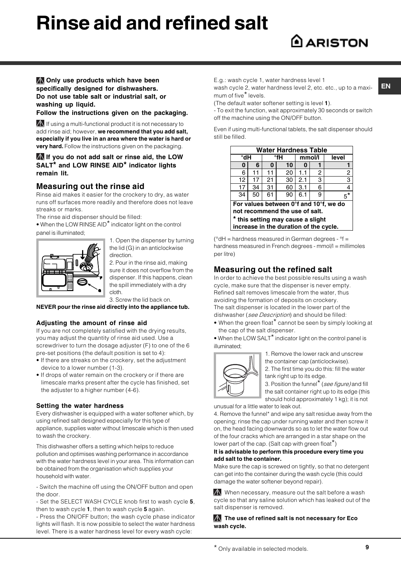## **Rinse aid and refined salt**

## **ARISTON**

**A Only use products which have been** specifically designed for dishwashers. Do not use table salt or industrial salt, or washing up liquid.

Follow the instructions given on the packaging.

 $\Lambda$  If using a multi-functional product it is not necessary to add rinse aid; however, we recommend that you add salt, especially if you live in an area where the water is hard or very hard. Follow the instructions given on the packaging.

If you do not add salt or rinse aid, the LOW SALT\* and LOW RINSE AID\* indicator lights remain lit.

#### Measuring out the rinse aid

Rinse aid makes it easier for the crockery to dry, as water runs off surfaces more readily and therefore does not leave streaks or marks.

The rinse aid dispenser should be filled:

. When the LOW RINSE AID<sup>\*</sup> indicator light on the control panel is illuminated;



1. Open the dispenser by turning the lid (G) in an anticlockwise direction

2. Pour in the rinse aid, making sure it does not overflow from the dispenser. If this happens, clean the spill immediately with a dry cloth.

3. Screw the lid back on.

NEVER pour the rinse aid directly into the appliance tub.

#### Adjusting the amount of rinse aid

If you are not completely satisfied with the drying results, you may adjust the quantity of rinse aid used. Use a screwdriver to turn the dosage adjuster (F) to one of the 6 pre-set positions (the default position is set to 4):

- If there are streaks on the crockery, set the adjustment device to a lower number (1-3).
- If drops of water remain on the crockery or if there are limescale marks present after the cycle has finished, set the adjuster to a higher number (4-6).

#### Setting the water hardness

Every dishwasher is equipped with a water softener which, by using refined salt designed especially for this type of appliance, supplies water without limescale which is then used to wash the crockery.

This dishwasher offers a setting which helps to reduce pollution and optimises washing performance in accordance with the water hardness level in your area. This information can be obtained from the organisation which supplies your household with water.

- Switch the machine off using the ON/OFF button and open the door

- Set the SELECT WASH CYCLE knob first to wash cycle 5, then to wash cycle 1, then to wash cycle 5 again.

- Press the ON/OFF button; the wash cycle phase indicator lights will flash. It is now possible to select the water hardness level. There is a water hardness level for every wash cycle:

E.g.: wash cycle 1, water hardness level 1

wash cycle 2, water hardness level 2, etc. etc., up to a maximum of five\* levels.

(The default water softener setting is level 1).

- To exit the function, wait approximately 30 seconds or switch off the machine using the ON/OFF button.

Even if using multi-functional tablets, the salt dispenser should he filled

| <b>Water Hardness Table</b>                                                 |    |     |    |        |   |       |
|-----------------------------------------------------------------------------|----|-----|----|--------|---|-------|
| $^{\circ}$ dH                                                               |    | °fH |    | mmol/l |   | level |
| 0                                                                           | 6  | O   | 10 | 0      |   |       |
| 6                                                                           | 11 | 11  | 20 | 1.1    | 2 | 2     |
| 12                                                                          | 17 | 21  | 30 | 2.1    | 3 | 3     |
| 17                                                                          | 34 | 31  | 60 | 3.1    | 6 | 4     |
| 34                                                                          | 50 | 61  | 90 | 6.1    | 9 | $5^*$ |
| For values between 0°f and 10°f, we do<br>not recommend the use of salt.    |    |     |    |        |   |       |
| * this setting may cause a slight<br>increase in the duration of the cycle. |    |     |    |        |   |       |

( $\textdegree$ dH = hardness measured in German degrees -  $\textdegree$ f = hardness measured in French degrees - mmol/l = millimoles per litre)

### **Measuring out the refined salt**

In order to achieve the best possible results using a wash cycle, make sure that the dispenser is never empty. Refined salt removes limescale from the water, thus avoiding the formation of deposits on crockery. The salt dispenser is located in the lower part of the dishwasher (see Description) and should be filled:

• When the green float<sup>\*</sup> cannot be seen by simply looking at the cap of the salt dispenser.

. When the LOW SALT<sup>\*</sup> indicator light on the control panel is illuminated:



1. Remove the lower rack and unscrew the container cap (anticlockwise). 2. The first time you do this: fill the water tank right up to its edge.

3. Position the funnel<sup>\*</sup> (see figure) and fill the salt container right up to its edge (this should hold approximately 1 kg); it is not

unusual for a little water to leak out.

4. Remove the funnel\* and wipe any salt residue away from the opening; rinse the cap under running water and then screw it on, the head facing downwards so as to let the water flow out of the four cracks which are arranged in a star shape on the lower part of the cap. (Salt cap with green float<sup>\*</sup>)

#### It is advisable to perform this procedure every time you add salt to the container.

Make sure the cap is screwed on tightly, so that no detergent can get into the container during the wash cycle (this could damage the water softener beyond repair).

 $\Lambda$  When necessary, measure out the salt before a wash cycle so that any saline solution which has leaked out of the salt dispenser is removed.

#### The use of refined salt is not necessary for Eco wash cycle.

 $\overline{9}$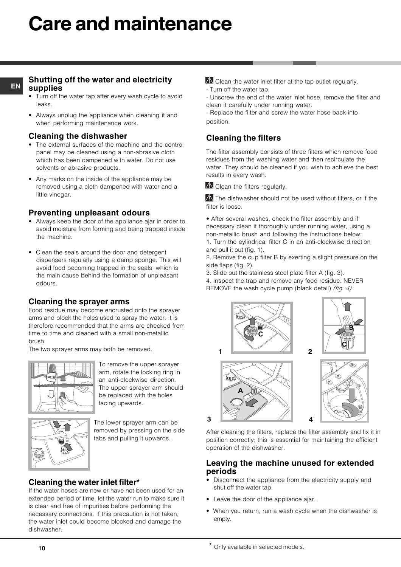## EN

### Shutting off the water and electricity supplies

- Turn off the water tap after every wash cycle to avoid leaks.
- Always unplug the appliance when cleaning it and when performing maintenance work.

### **Cleaning the dishwasher**

- The external surfaces of the machine and the control panel may be cleaned using a non-abrasive cloth which has been dampened with water. Do not use solvents or abrasive products.
- Any marks on the inside of the appliance may be removed using a cloth dampened with water and a little vinegar.

## **Preventing unpleasant odours**

- Always keep the door of the appliance ajar in order to avoid moisture from forming and being trapped inside the machine.
- Clean the seals around the door and detergent dispensers regularly using a damp sponge. This will avoid food becoming trapped in the seals, which is the main cause behind the formation of unpleasant odours.

## **Cleaning the sprayer arms**

Food residue may become encrusted onto the sprayer arms and block the holes used to spray the water. It is therefore recommended that the arms are checked from time to time and cleaned with a small non-metallic hrush

The two sprayer arms may both be removed.



To remove the upper sprayer arm, rotate the locking ring in an anti-clockwise direction. The upper spraver arm should be replaced with the holes facing upwards.



The lower sprayer arm can be removed by pressing on the side tabs and pulling it upwards.

## Cleaning the water inlet filter\*

If the water hoses are new or have not been used for an extended period of time, let the water run to make sure it is clear and free of impurities before performing the necessary connections. If this precaution is not taken, the water inlet could become blocked and damage the dishwasher.

- $\triangle$  Clean the water inlet filter at the tap outlet regularly.
- Turn off the water tap.
- Unscrew the end of the water inlet hose, remove the filter and clean it carefully under running water.
- Replace the filter and screw the water hose back into position.

## **Cleaning the filters**

The filter assembly consists of three filters which remove food residues from the washing water and then recirculate the water. They should be cleaned if you wish to achieve the best results in every wash.



1

3

 $\triangle$  Clean the filters regularly.

A The dishwasher should not be used without filters, or if the filter is lonse

• After several washes, check the filter assembly and if necessary clean it thoroughly under running water, using a non-metallic brush and following the instructions below:

1. Turn the cylindrical filter C in an anti-clockwise direction and pull it out (fig. 1).

2. Remove the cup filter B by exerting a slight pressure on the side flaps (fig. 2).

 $\overline{2}$ 

 $\overline{A}$ 

3. Slide out the stainless steel plate filter A (fig. 3).

4. Inspect the trap and remove any food residue. NEVER REMOVE the wash cycle pump (black detail) (fig. 4).









After cleaning the filters, replace the filter assembly and fix it in position correctly; this is essential for maintaining the efficient operation of the dishwasher.

### Leaving the machine unused for extended periods

- Disconnect the appliance from the electricity supply and shut off the water tap.
- Leave the door of the appliance ajar.
- When you return, run a wash cycle when the dishwasher is empty.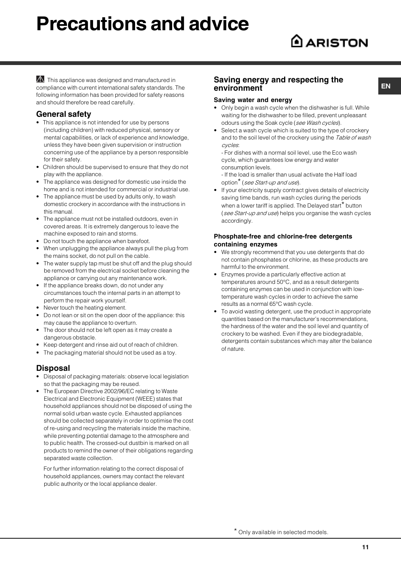## **Precautions and advice**

 $\triangle$  This appliance was designed and manufactured in compliance with current international safety standards. The following information has been provided for safety reasons and should therefore be read carefully.

### **General safety**

- This appliance is not intended for use by persons (including children) with reduced physical, sensory or mental capabilities, or lack of experience and knowledge. unless they have been given supervision or instruction concerning use of the appliance by a person responsible for their safety.
- Children should be supervised to ensure that they do not play with the appliance.
- The appliance was designed for domestic use inside the home and is not intended for commercial or industrial use.
- The appliance must be used by adults only, to wash domestic crockery in accordance with the instructions in this manual
- The appliance must not be installed outdoors, even in covered areas. It is extremely dangerous to leave the machine exposed to rain and storms
- Do not touch the appliance when barefoot.
- When unplugging the appliance always pull the plug from the mains socket, do not pull on the cable.
- The water supply tap must be shut off and the plug should be removed from the electrical socket before cleaning the appliance or carrying out any maintenance work.
- If the appliance breaks down, do not under any circumstances touch the internal parts in an attempt to perform the repair work yourself.
- Never touch the heating element.
- Do not lean or sit on the open door of the appliance: this may cause the appliance to overturn.
- The door should not be left open as it may create a dangerous obstacle.
- Keep detergent and rinse aid out of reach of children.
- The packaging material should not be used as a toy.

#### **Disposal**

- Disposal of packaging materials: observe local legislation so that the packaging may be reused.
- The European Directive 2002/96/EC relating to Waste Electrical and Electronic Equipment (WEEE) states that household appliances should not be disposed of using the normal solid urban waste cycle. Exhausted appliances should be collected separately in order to optimise the cost of re-using and recycling the materials inside the machine, while preventing potential damage to the atmosphere and to public health. The crossed-out dustbin is marked on all products to remind the owner of their obligations regarding separated waste collection.

For further information relating to the correct disposal of household appliances, owners may contact the relevant public authority or the local appliance dealer.

#### Saving energy and respecting the environment

#### Saving water and energy

- Only begin a wash cycle when the dishwasher is full. While waiting for the dishwasher to be filled, prevent unpleasant odours using the Soak cycle (see Wash cycles).
- Select a wash cycle which is suited to the type of crockery and to the soil level of the crockery using the Table of wash cycles

- For dishes with a normal soil level, use the Eco wash cycle, which quarantees low energy and water consumption levels.

- If the load is smaller than usual activate the Half load option<sup>\*</sup> (*see Start-up and use*).

If your electricity supply contract gives details of electricity saving time bands, run wash cycles during the periods when a lower tariff is applied. The Delayed start\* button (see Start-up and use) helps you organise the wash cycles accordingly.

#### Phosphate-free and chlorine-free detergents containing enzymes

- We strongly recommend that you use detergents that do not contain phosphates or chlorine, as these products are harmful to the environment.
- Enzymes provide a particularly effective action at temperatures around 50°C, and as a result detergents containing enzymes can be used in conjunction with lowtemperature wash cycles in order to achieve the same results as a normal 65°C wash cycle.
- To avoid wasting detergent, use the product in appropriate quantities based on the manufacturer's recommendations, the hardness of the water and the soil level and quantity of crockery to be washed. Even if they are biodegradable, detergents contain substances which may alter the balance of nature.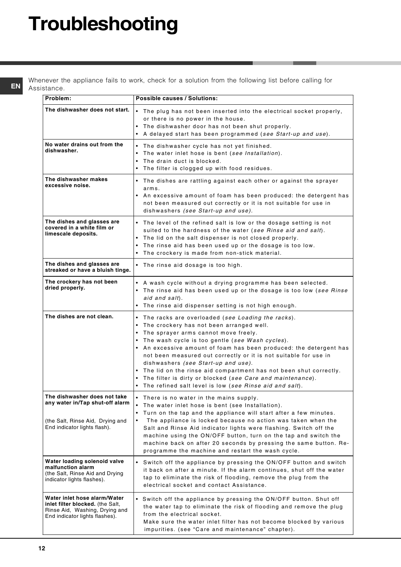# Troubleshooting

Whenever the appliance fails to work, check for a solution from the following list before calling for Assistance.

| Problem:                                                                                                                             | Possible causes / Solutions:                                                                                                                                                                                                                                                                                                                                                                                                                                                                                                                                                       |
|--------------------------------------------------------------------------------------------------------------------------------------|------------------------------------------------------------------------------------------------------------------------------------------------------------------------------------------------------------------------------------------------------------------------------------------------------------------------------------------------------------------------------------------------------------------------------------------------------------------------------------------------------------------------------------------------------------------------------------|
| The dishwasher does not start.                                                                                                       | The plug has not been inserted into the electrical socket properly,<br>or there is no power in the house.<br>The dishwasher door has not been shut properly.<br>A delayed start has been programmed (see Start-up and use).                                                                                                                                                                                                                                                                                                                                                        |
| No water drains out from the<br>dishwasher.                                                                                          | The dishwasher cycle has not yet finished.<br>The water inlet hose is bent (see Installation).<br>The drain duct is blocked.<br>The filter is clogged up with food residues.                                                                                                                                                                                                                                                                                                                                                                                                       |
| The dishwasher makes<br>excessive noise.                                                                                             | The dishes are rattling against each other or against the sprayer<br>arms.<br>• An excessive amount of foam has been produced: the detergent has<br>not been measured out correctly or it is not suitable for use in<br>dishwashers (see Start-up and use).                                                                                                                                                                                                                                                                                                                        |
| The dishes and glasses are<br>covered in a white film or<br>limescale deposits.                                                      | • The level of the refined salt is low or the dosage setting is not<br>suited to the hardness of the water (see Rinse aid and salt).<br>The lid on the salt dispenser is not closed properly.<br>The rinse aid has been used up or the dosage is too low.<br>The crockery is made from non-stick material.<br>$\bullet$                                                                                                                                                                                                                                                            |
| The dishes and glasses are<br>streaked or have a bluish tinge.                                                                       | • The rinse aid dosage is too high.                                                                                                                                                                                                                                                                                                                                                                                                                                                                                                                                                |
| The crockery has not been<br>dried properly.                                                                                         | A wash cycle without a drying programme has been selected.<br>The rinse aid has been used up or the dosage is too low (see Rinse<br>aid and salt).<br>The rinse aid dispenser setting is not high enough.                                                                                                                                                                                                                                                                                                                                                                          |
| The dishes are not clean.                                                                                                            | The racks are overloaded (see Loading the racks).<br>The crockery has not been arranged well.<br>The sprayer arms cannot move freely.<br>$\bullet$<br>The wash cycle is too gentle (see Wash cycles).<br>An excessive amount of foam has been produced: the detergent has<br>not been measured out correctly or it is not suitable for use in<br>dishwashers (see Start-up and use).<br>The lid on the rinse aid compartment has not been shut correctly.<br>The filter is dirty or blocked (see Care and maintenance).<br>The refined salt level is low (see Rinse aid and salt). |
| The dishwasher does not take<br>any water in/Tap shut-off alarm<br>(the Salt, Rinse Aid, Drying and<br>End indicator lights flash).  | There is no water in the mains supply.<br>The water inlet hose is bent (see Installation).<br>Turn on the tap and the appliance will start after a few minutes.<br>$\bullet$<br>The appliance is locked because no action was taken when the<br>Salt and Rinse Aid indicator lights were flashing. Switch off the<br>machine using the ON/OFF button, turn on the tap and switch the<br>machine back on after 20 seconds by pressing the same button. Re-<br>programme the machine and restart the wash cycle.                                                                     |
| Water loading solenoid valve<br>malfunction alarm<br>(the Salt, Rinse Aid and Drying<br>indicator lights flashes).                   | Switch off the appliance by pressing the ON/OFF button and switch<br>it back on after a minute. If the alarm continues, shut off the water<br>tap to eliminate the risk of flooding, remove the plug from the<br>electrical socket and contact Assistance.                                                                                                                                                                                                                                                                                                                         |
| Water inlet hose alarm/Water<br>inlet filter blocked. (the Salt,<br>Rinse Aid, Washing, Drying and<br>End indicator lights flashes). | Switch off the appliance by pressing the ON/OFF button. Shut off<br>the water tap to eliminate the risk of flooding and remove the plug<br>from the electrical socket.<br>Make sure the water inlet filter has not become blocked by various<br>impurities. (see "Care and maintenance" chapter).                                                                                                                                                                                                                                                                                  |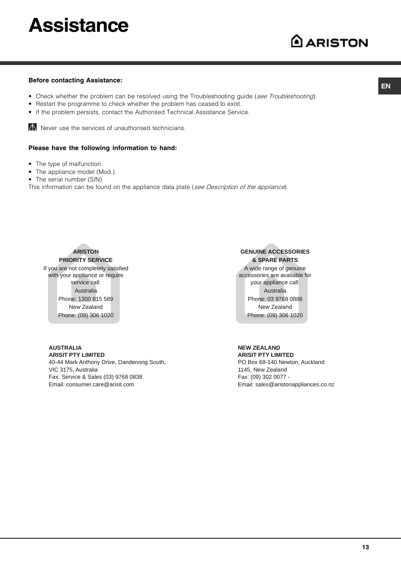## **Assistance**

## @ ARISTON

#### Before contacting Assistance:

- Check whether the problem can be resolved using the Troubleshooting guide (see Troubleshooting).
- Restart the programme to check whether the problem has ceased to exist.
- If the problem persists, contact the Authorised Technical Assistance Service.

Never use the services of unauthorised technicians.

#### Please have the following information to hand:

- The type of malfunction.
- The appliance model (Mod.).
- The serial number (S/N).
- This information can be found on the appliance data plate (*see Description of the appliance*).



If you are not completely satisfied with your appliance or require service call: Australia Phone: 1300 815 589

New Zealand Phone: (09) 306 1020

#### **GENUINE ACCESSORIES & SPARE PARTS**

A wide range of genuine accessories are available for your appliance call: Australia Phone: 03 9768 0888 New Zealand Phone: (09) 306 1020

#### **AUSTRALIA ARISIT PTY LIMITED**

40-44 Mark Anthony Drive, Dandenong South, VIC 3175, Australia Fax: Service & Sales (03) 9768 0838 Email: consumer.care@arisit.com

**NEW ZEALAND ARISIT PTY LIMITED**

PO Box 68-140 Newton, Auckland 1145, New Zealand Fax: (09) 302 0077 - Email: sales@aristonappliances.co.nz EN.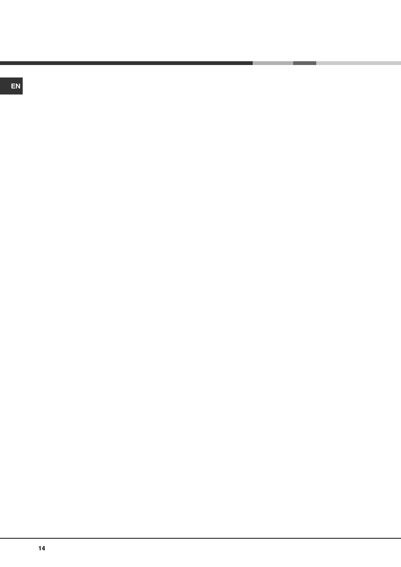EN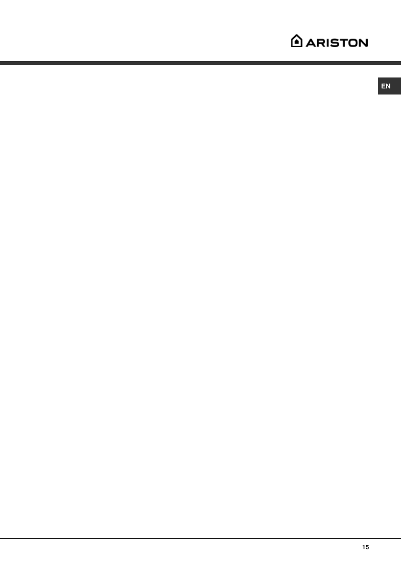## **@ARISTON**

EN